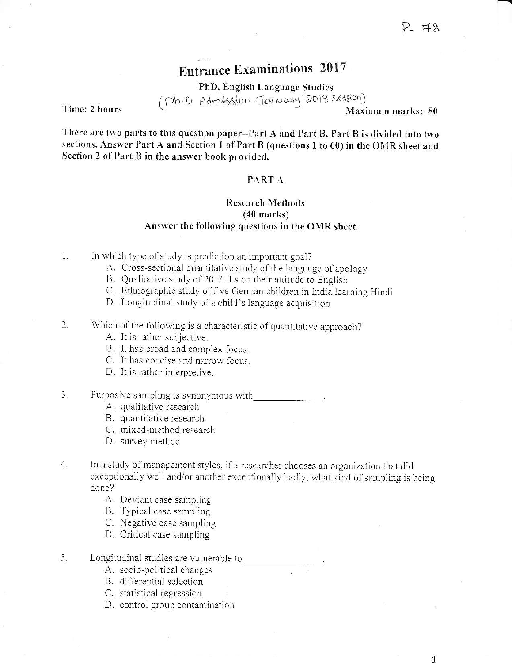$\overline{1}$ 

# **Entrance Examinations 2017**

PhD, English Language Studies (Ph.D Admission-January'2018 Session)

Time: 2 hours

Maximum marks: 80

There are two parts to this question paper--Part A and Part B. Part B is divided into two sections. Answer Part A and Section 1 of Part B (questions 1 to 60) in the OMR sheet and Section 2 of Part B in the answer book provided.

#### PART A

### **Research Methods**  $(40$  marks) Answer the following questions in the OMR sheet.

- $\mathbf{1}$ . In which type of study is prediction an important goal?
	- A. Cross-sectional quantitative study of the language of apology
	- B. Qualitative study of 20 ELLs on their attitude to English
	- C. Ethnographic study of five German children in India learning Hindi
	- D. Longitudinal study of a child's language acquisition
- 2. Which of the following is a characteristic of quantitative approach?
	- A. It is rather subjective.
	- B. It has broad and complex focus.
	- C. It has concise and narrow focus.
	- D. It is rather interpretive.
- 3. Purposive sampling is synonymous with
	- A. qualitative research
	- B. quantitative research
	- C. mixed-method research
	- D. survey method
- $4.$ In a study of management styles, if a researcher chooses an organization that did exceptionally well and/or another exceptionally badly, what kind of sampling is being done?
	- A. Deviant case sampling
	- B. Typical case sampling
	- C. Negative case sampling
	- D. Critical case sampling
- 5. Longitudinal studies are vulnerable to
	- A. socio-political changes
	- B. differential selection
	- C. statistical regression
	- D. control group contamination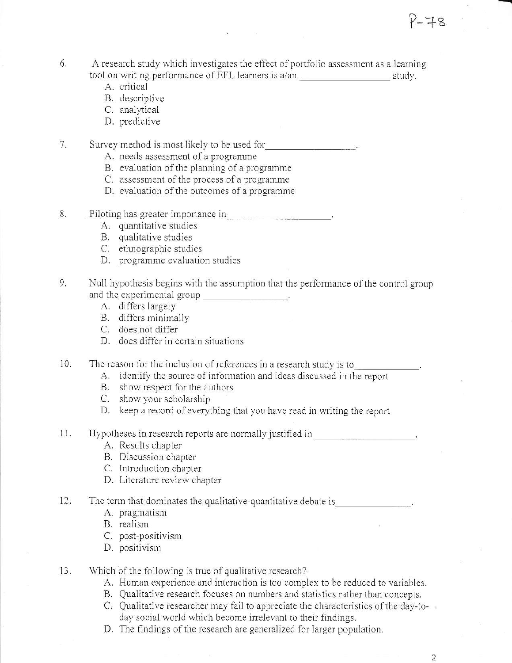- 6. A research study which investigates the effect of portfolio assessment as a learning tool on writing performance of EFL learners is a/an study.
	- A. critical
	- B. descriptive
	- C. analytical
	- D. predictive

 $7.$ Survey method is most likely to be used for

- A. needs assessment of a programme
- B. evaluation of the planning of a programme
- C. assessment of the process of a programme
- D. evaluation of the outcomes of a programme
- Piloting has greater importance in the contract of the contract of the contract of the contract of the contract of the contract of the contract of the contract of the contract of the contract of the contract of the contrac 8.
	- A. quantitative studies
	- B. qualitative studies
	- C. ethnographic studies
	- D. programme evaluation studies
- 9. Null hypothesis begins with the assumption that the performance of the control group and the experimental group that is not contained and the experimental group
	- A. differs largely
	- B. differs minimally
	- C. does not differ
	- D. does differ in certain situations
- $10.$ The reason for the inclusion of references in a research study is to
	- A. identify the source of information and ideas discussed in the report
	- B. show respect for the authors
	- C. show your scholarship
	- D. keep a record of everything that you have read in writing the report
- 11. Hypotheses in research reports are normally justified in
	- A. Results chapter
	- B. Discussion chapter
	- C. Introduction chapter
	- D. Literature review chapter
- 12. The term that dominates the qualitative-quantitative debate is
	- A. pragmatism
	- B. realism
	- C. post-positivism
	- D. positivism
- 13. Which of the following is true of qualitative research?
	- A. Human experience and interaction is too complex to be reduced to variables.
	- B. Qualitative research focuses on numbers and statistics rather than concepts.
	- C. Qualitative researcher may fail to appreciate the characteristics of the day-today social world which become irrelevant to their findings.
	- D. The findings of the research are generalized for larger population.

 $\overline{2}$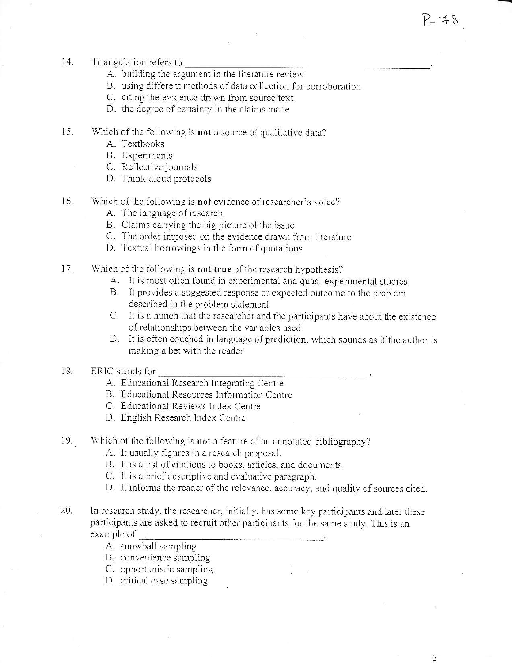- 14. Triangulation refers to
	- A. building the argument in the literature review
	- B. using different methods of data collection for corroboration
	- C. citing the evidence drawn from source text
	- D. the degree of certainty in the claims made
- $15.$ Which of the following is not a source of qualitative data?
	- A. Textbooks
	- **B.** Experiments
	- C. Reflective journals
	- D. Think-aloud protocols
- $16.$ Which of the following is not evidence of researcher's voice?
	- A. The language of research
	- B. Claims carrying the big picture of the issue
	- C. The order imposed on the evidence drawn from literature
	- D. Textual borrowings in the form of quotations
- 17. Which of the following is not true of the research hypothesis?
	- A. It is most often found in experimental and quasi-experimental studies
	- B. It provides a suggested response or expected outcome to the problem described in the problem statement
	- C. It is a hunch that the researcher and the participants have about the existence of relationships between the variables used
	- D. It is often couched in language of prediction, which sounds as if the author is making a bet with the reader
- 18. ERIC stands for
	- A. Educational Research Integrating Centre
	- B. Educational Resources Information Centre
	- C. Educational Reviews Index Centre
	- D. English Research Index Centre
- 19. Which of the following is not a feature of an annotated bibliography?
	- A. It usually figures in a research proposal.
	- B. It is a list of citations to books, articles, and documents.
	- C. It is a brief descriptive and evaluative paragraph.
	- D. It informs the reader of the relevance, accuracy, and quality of sources cited.
- 20. In research study, the researcher, initially, has some key participants and later these participants are asked to recruit other participants for the same study. This is an example of
	- A. snowball sampling
	- B. convenience sampling
	- C. opportunistic sampling
	- D. critical case sampling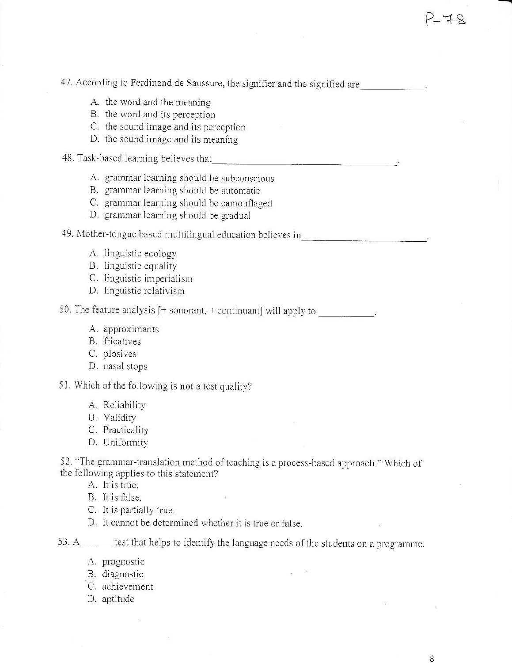47. According to Ferdinand de Saussure, the signifier and the signified are

- A. the word and the meaning
- B. the word and its perception
- C. the sound image and its perception
- D. the sound image and its meaning
- 48. Task-based learning believes that
	- A. grammar learning should be subconscious
	- B. grammar learning should be automatic
	- C. grammar learning should be camouflaged
	- D. grammar learning should be gradual

49. Mother-tongue based multilingual education believes in 

- A. linguistic ecology
- B. linguistic equality
- C. linguistic imperialism
- D. linguistic relativism

50. The feature analysis  $[+$  sonorant,  $+$  continuant] will apply to

- A. approximants
- B. fricatives
- C. plosives
- D. nasal stops

51. Which of the following is not a test quality?

- A. Reliability
- B. Validity
- C. Practicality
- D. Uniformity

52. "The grammar-translation method of teaching is a process-based approach." Which of the following applies to this statement?

A. It is true.

B. It is false.

- C. It is partially true.
- D. It cannot be determined whether it is true or false.

53. A \_\_\_\_\_ test that helps to identify the language needs of the students on a programme.

- A. prognostic
- B. diagnostic
- C. achievement
- D. aptitude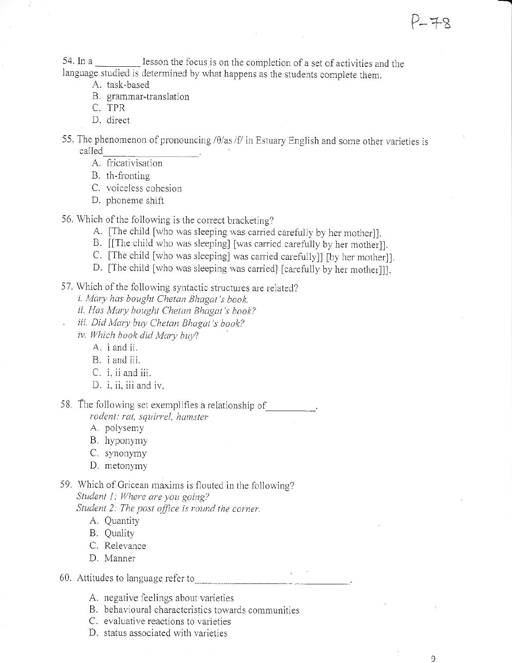9

54. In a lesson the focus is on the completion of a set of activities and the language studied is determined by what happens as the students complete them.

- A. task-based
- B. grammar-translation
- C. TPR
- D. direct
- 55. The phenomenon of pronouncing / $\theta$ /as/f/ in Estuary English and some other varieties is called
	- A. fricativisation

B. th-fronting

- C. voiceless cohesion
- D. phoneme shift
- 56. Which of the following is the correct bracketing?
	- A. [The child [who was sleeping was carried carefully by her mother]].
	- B. [[The child who was sleeping] [was carried carefully by her mother]].
	- C. [The child [who was sleeping] was carried carefully]] [by her mother]].
	- D. [The child [who was sleeping was carried] [carefully by her mother]]].
- 57. Which of the following syntactic structures are related?
	- i. Mary has bought Chetan Bhagat's book.
	- ii. Has Mary bought Chetan Bhagat's book?
- iii. Did Mary buy Chetan Bhagat's book? iv. Which book did Mary buy?
	- A. *i* and *ii*.
	- B. i and iii.
	- C. i, ii and iii.
	- D. i. ii. iii and iv.

58. The following set exemplifies a relationship of rodent: rat, squirrel, hamster

- A. polysemy
- B. hyponymy
- C. synonymy
- D. metonymy
- 59. Which of Gricean maxims is flouted in the following? Student 1: Where are you going?
	- Student 2: The post office is round the corner.
		- A. Quantity
		- B. Quality
		- C. Relevance
		- D. Manner

#### 60. Attitudes to language refer to

- A. negative feelings about varieties
- B. behavioural characteristics towards communities
- C. evaluative reactions to varieties
- D. status associated with varieties